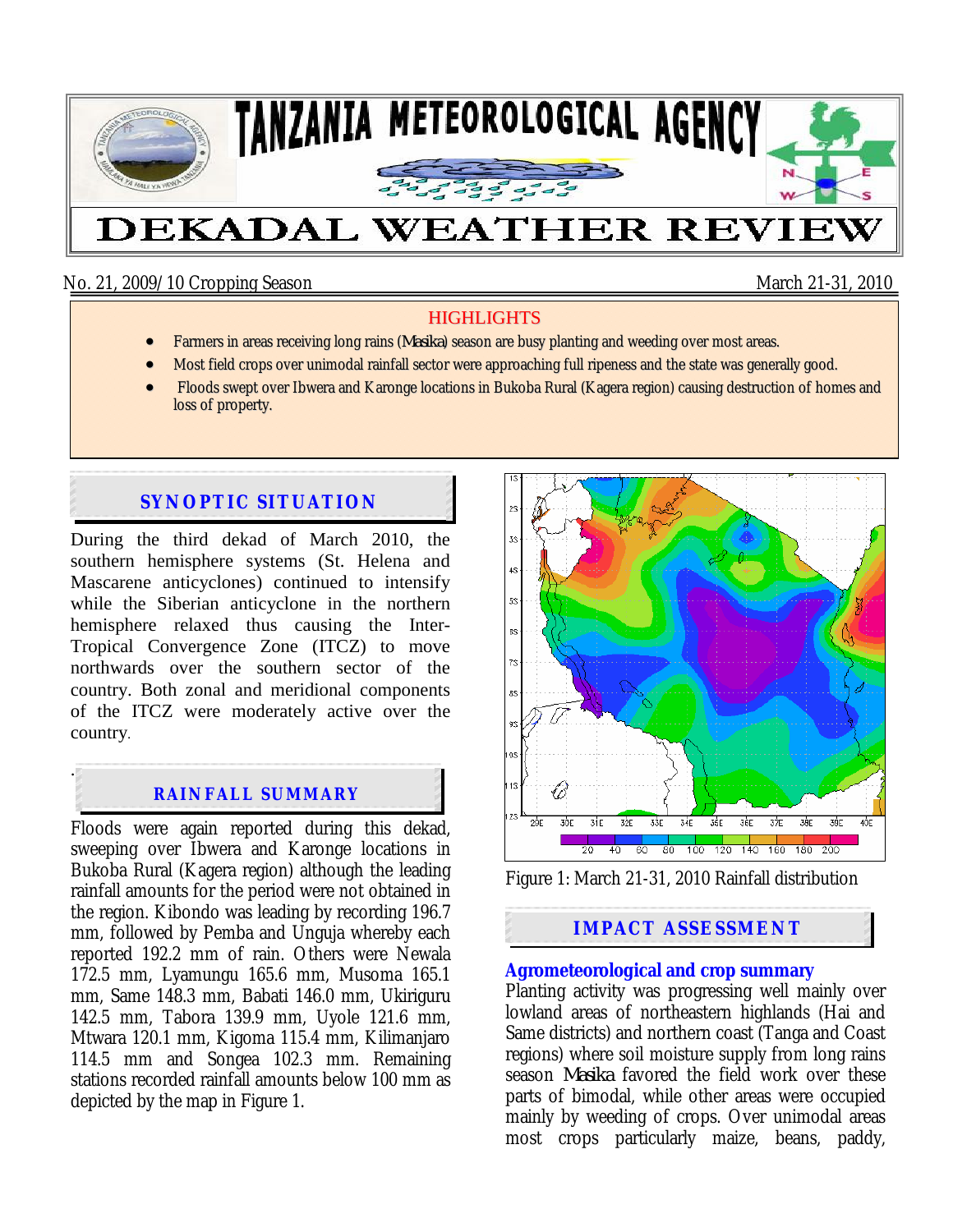

No. 21, 2009/10 Cropping Season March 21-31, 2010

### **HIGHLIGHTS**

- Farmers in areas receiving long rains (*Masika*) season are busy planting and weeding over most areas.
- Most field crops over unimodal rainfall sector were approaching full ripeness and the state was generally good.
- Floods swept over Ibwera and Karonge locations in Bukoba Rural (Kagera region) causing destruction of homes and loss of property.

# **SYNOPTIC SITUATION**

During the third dekad of March 2010, the southern hemisphere systems (St. Helena and Mascarene anticyclones) continued to intensify while the Siberian anticyclone in the northern hemisphere relaxed thus causing the Inter-Tropical Convergence Zone (ITCZ) to move northwards over the southern sector of the country. Both zonal and meridional components of the ITCZ were moderately active over the country.

# **RAINFALL SUMMARY**

.

Floods were again reported during this dekad, sweeping over Ibwera and Karonge locations in Bukoba Rural (Kagera region) although the leading rainfall amounts for the period were not obtained in the region. Kibondo was leading by recording 196.7 mm, followed by Pemba and Unguja whereby each reported 192.2 mm of rain. Others were Newala 172.5 mm, Lyamungu 165.6 mm, Musoma 165.1 mm, Same 148.3 mm, Babati 146.0 mm, Ukiriguru 142.5 mm, Tabora 139.9 mm, Uyole 121.6 mm, Mtwara 120.1 mm, Kigoma 115.4 mm, Kilimanjaro 114.5 mm and Songea 102.3 mm. Remaining stations recorded rainfall amounts below 100 mm as depicted by the map in Figure 1.



Figure 1: March 21-31, 2010 Rainfall distribution

## **IMPACT ASSESSMENT**

#### **Agrometeorological and crop summary**

Planting activity was progressing well mainly over lowland areas of northeastern highlands (Hai and Same districts) and northern coast (Tanga and Coast regions) where soil moisture supply from long rains season *Masika* favored the field work over these parts of bimodal, while other areas were occupied mainly by weeding of crops. Over unimodal areas most crops particularly maize, beans, paddy,